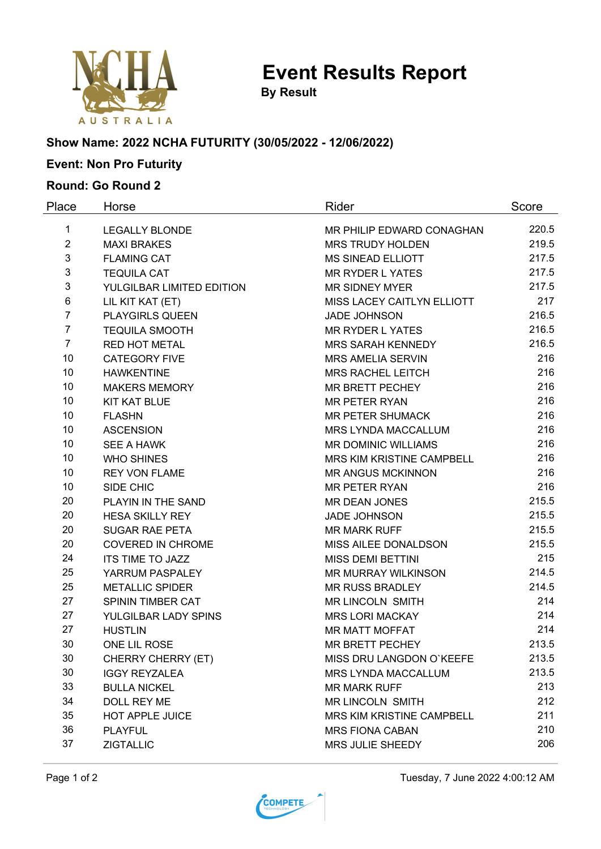

**Event Results Report**

**By Result**

## **Show Name: 2022 NCHA FUTURITY (30/05/2022 - 12/06/2022)**

# **Event: Non Pro Futurity**

#### **Round: Go Round 2**

| Place          | Horse                     | Rider                      | Score |
|----------------|---------------------------|----------------------------|-------|
| 1              | <b>LEGALLY BLONDE</b>     | MR PHILIP EDWARD CONAGHAN  | 220.5 |
| $\overline{2}$ | <b>MAXI BRAKES</b>        | <b>MRS TRUDY HOLDEN</b>    | 219.5 |
| 3              | <b>FLAMING CAT</b>        | <b>MS SINEAD ELLIOTT</b>   | 217.5 |
| 3              | <b>TEQUILA CAT</b>        | <b>MR RYDER L YATES</b>    | 217.5 |
| 3              | YULGILBAR LIMITED EDITION | <b>MR SIDNEY MYER</b>      | 217.5 |
| 6              | LIL KIT KAT (ET)          | MISS LACEY CAITLYN ELLIOTT | 217   |
| $\overline{7}$ | <b>PLAYGIRLS QUEEN</b>    | <b>JADE JOHNSON</b>        | 216.5 |
| $\overline{7}$ | <b>TEQUILA SMOOTH</b>     | <b>MR RYDER L YATES</b>    | 216.5 |
| $\overline{7}$ | <b>RED HOT METAL</b>      | <b>MRS SARAH KENNEDY</b>   | 216.5 |
| 10             | <b>CATEGORY FIVE</b>      | <b>MRS AMELIA SERVIN</b>   | 216   |
| 10             | <b>HAWKENTINE</b>         | <b>MRS RACHEL LEITCH</b>   | 216   |
| 10             | <b>MAKERS MEMORY</b>      | <b>MR BRETT PECHEY</b>     | 216   |
| 10             | <b>KIT KAT BLUE</b>       | <b>MR PETER RYAN</b>       | 216   |
| 10             | <b>FLASHN</b>             | <b>MR PETER SHUMACK</b>    | 216   |
| 10             | <b>ASCENSION</b>          | MRS LYNDA MACCALLUM        | 216   |
| 10             | <b>SEE A HAWK</b>         | <b>MR DOMINIC WILLIAMS</b> | 216   |
| 10             | <b>WHO SHINES</b>         | MRS KIM KRISTINE CAMPBELL  | 216   |
| 10             | <b>REY VON FLAME</b>      | <b>MR ANGUS MCKINNON</b>   | 216   |
| 10             | SIDE CHIC                 | <b>MR PETER RYAN</b>       | 216   |
| 20             | PLAYIN IN THE SAND        | MR DEAN JONES              | 215.5 |
| 20             | <b>HESA SKILLY REY</b>    | <b>JADE JOHNSON</b>        | 215.5 |
| 20             | <b>SUGAR RAE PETA</b>     | <b>MR MARK RUFF</b>        | 215.5 |
| 20             | <b>COVERED IN CHROME</b>  | MISS AILEE DONALDSON       | 215.5 |
| 24             | <b>ITS TIME TO JAZZ</b>   | <b>MISS DEMI BETTINI</b>   | 215   |
| 25             | YARRUM PASPALEY           | MR MURRAY WILKINSON        | 214.5 |
| 25             | <b>METALLIC SPIDER</b>    | <b>MR RUSS BRADLEY</b>     | 214.5 |
| 27             | SPININ TIMBER CAT         | <b>MR LINCOLN SMITH</b>    | 214   |
| 27             | YULGILBAR LADY SPINS      | <b>MRS LORI MACKAY</b>     | 214   |
| 27             | <b>HUSTLIN</b>            | <b>MR MATT MOFFAT</b>      | 214   |
| 30             | ONE LIL ROSE              | <b>MR BRETT PECHEY</b>     | 213.5 |
| 30             | CHERRY CHERRY (ET)        | MISS DRU LANGDON O'KEEFE   | 213.5 |
| 30             | <b>IGGY REYZALEA</b>      | MRS LYNDA MACCALLUM        | 213.5 |
| 33             | <b>BULLA NICKEL</b>       | <b>MR MARK RUFF</b>        | 213   |
| 34             | DOLL REY ME               | <b>MR LINCOLN SMITH</b>    | 212   |
| 35             | <b>HOT APPLE JUICE</b>    | MRS KIM KRISTINE CAMPBELL  | 211   |
| 36             | <b>PLAYFUL</b>            | <b>MRS FIONA CABAN</b>     | 210   |
| 37             | <b>ZIGTALLIC</b>          | MRS JULIE SHEEDY           | 206   |